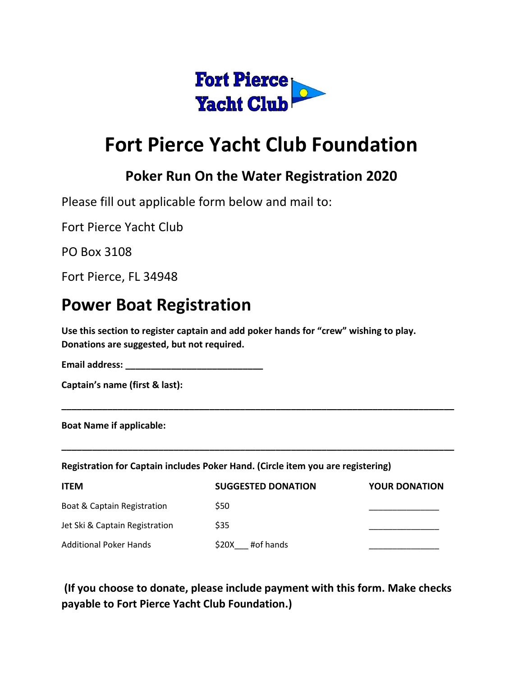

# **Fort Pierce Yacht Club Foundation**

#### **Poker Run On the Water Registration 2020**

Please fill out applicable form below and mail to:

Fort Pierce Yacht Club

PO Box 3108

Fort Pierce, FL 34948

## **Power Boat Registration**

**Use this section to register captain and add poker hands for "crew" wishing to play. Donations are suggested, but not required.**

**Email address: \_\_\_\_\_\_\_\_\_\_\_\_\_\_\_\_\_\_\_\_\_\_\_\_\_\_\_**

**Captain's name (first & last):**

**Boat Name if applicable:**

**Registration for Captain includes Poker Hand. (Circle item you are registering)**

| <b>ITEM</b>                            | <b>SUGGESTED DONATION</b> | <b>YOUR DONATION</b> |
|----------------------------------------|---------------------------|----------------------|
| <b>Boat &amp; Captain Registration</b> | <b>S50</b>                |                      |
| Jet Ski & Captain Registration         | \$35                      |                      |
| <b>Additional Poker Hands</b>          | #of hands<br><b>S20X</b>  |                      |

**\_\_\_\_\_\_\_\_\_\_\_\_\_\_\_\_\_\_\_\_\_\_\_\_\_\_\_\_\_\_\_\_\_\_\_\_\_\_\_\_\_\_\_\_\_\_\_\_\_\_\_\_\_\_\_\_\_\_\_\_\_\_\_\_\_\_\_\_\_\_\_\_\_\_\_\_\_** 

**\_\_\_\_\_\_\_\_\_\_\_\_\_\_\_\_\_\_\_\_\_\_\_\_\_\_\_\_\_\_\_\_\_\_\_\_\_\_\_\_\_\_\_\_\_\_\_\_\_\_\_\_\_\_\_\_\_\_\_\_\_\_\_\_\_\_\_\_\_\_\_\_\_\_\_\_\_** 

#### **(If you choose to donate, please include payment with this form. Make checks payable to Fort Pierce Yacht Club Foundation.)**